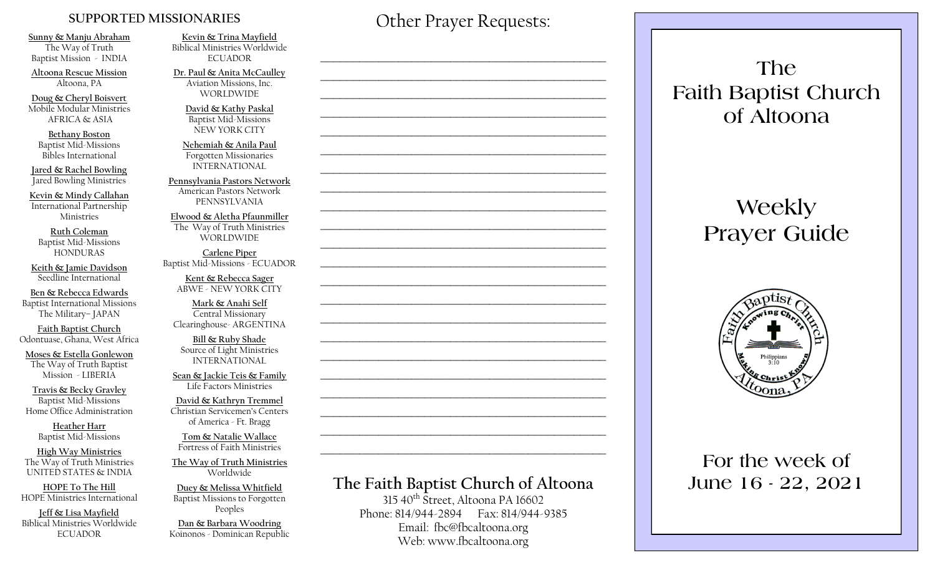#### **SUPPORTED MISSIONARIES**

**Sunny & Manju Abraham**  The Way of Truth Baptist Mission - INDIA

**Altoona Rescue Mission** Altoona, PA

**Doug & Cheryl Boisvert** Mobile Modular Ministries AFRICA & ASIA

**Bethany Boston** Baptist Mid-Missions Bibles International

**Jared & Rachel Bowling** Jared Bowling Ministries

**Kevin & Mindy Callahan** International Partnership Ministries

**Ruth Coleman** Baptist Mid-Missions HONDURAS

**Keith & Jamie Davidson** Seedline International

**Ben & Rebecca Edwards** Baptist International Missions The Military– JAPAN

**Faith Baptist Church** Odontuase, Ghana, West Africa

**Moses & Estella Gonlewon** The Way of Truth Baptist Mission - LIBERIA

**Travis & Becky Gravley**  Baptist Mid-Missions Home Office Administration

> **Heather Harr** Baptist Mid-Missions

**High Way Ministries** The Way of Truth Ministries UNITED STATES & INDIA

**HOPE To The Hill** HOPE Ministries International

**Jeff & Lisa Mayfield** Biblical Ministries Worldwide **ECUADOR** 

**Kevin & Trina Mayfield** Biblical Ministries Worldwide ECUADOR

**Dr. Paul & Anita McCaulley** Aviation Missions, Inc. WORLDWIDE

> **David & Kathy Paskal** Baptist Mid-Missions NEW YORK CITY

**Nehemiah & Anila Paul** Forgotten Missionaries INTERNATIONAL

**Pennsylvania Pastors Network** American Pastors Network PENNSYLVANIA

**Elwood & Aletha Pfaunmiller** The Way of Truth Ministries WORLDWIDE

**Carlene Piper** Baptist Mid-Missions - ECUADOR

> **Kent & Rebecca Sager** ABWE - NEW YORK CITY

**Mark & Anahi Self** Central Missionary Clearinghouse- ARGENTINA

**Bill & Ruby Shade** Source of Light Ministries INTERNATIONAL

**Sean & Jackie Teis & Family** Life Factors Ministries

**David & Kathryn Tremmel**  Christian Servicemen's Centers of America - Ft. Bragg

**Tom & Natalie Wallace** Fortress of Faith Ministries

**The Way of Truth Ministries**  Worldwide

**Duey & Melissa Whitfield** Baptist Missions to Forgotten Peoples

**Dan & Barbara Woodring**  Koinonos - Dominican Republic Other Prayer Requests:

 $\mathcal{L}_\text{max}$  and  $\mathcal{L}_\text{max}$  and  $\mathcal{L}_\text{max}$  and  $\mathcal{L}_\text{max}$  and  $\mathcal{L}_\text{max}$ 

 $\mathcal{L}_\text{max}$  , and the contract of the contract of the contract of the contract of the contract of the contract of the contract of the contract of the contract of the contract of the contract of the contract of the contr

 $\mathcal{L}_\text{max}$  and  $\mathcal{L}_\text{max}$  and  $\mathcal{L}_\text{max}$  and  $\mathcal{L}_\text{max}$  and  $\mathcal{L}_\text{max}$ 

 $\mathcal{L}_\text{max}$  and  $\mathcal{L}_\text{max}$  and  $\mathcal{L}_\text{max}$  and  $\mathcal{L}_\text{max}$  and  $\mathcal{L}_\text{max}$ 

 $\mathcal{L}_\text{max}$  , and the contract of the contract of the contract of the contract of the contract of the contract of the contract of the contract of the contract of the contract of the contract of the contract of the contr

 $\mathcal{L}_\text{max}$  , and the contract of the contract of the contract of the contract of the contract of the contract of the contract of the contract of the contract of the contract of the contract of the contract of the contr

# **The Faith Baptist Church of Altoona**   $315\,40^{th}$  Street, Altoona PA 16602  $\mathcal{L}_\text{max}$  , and the contract of the contract of the contract of the contract of the contract of the contract of the contract of the contract of the contract of the contract of the contract of the contract of the contr  $\mathcal{L}_\text{max}$  and  $\mathcal{L}_\text{max}$  and  $\mathcal{L}_\text{max}$  and  $\mathcal{L}_\text{max}$  and  $\mathcal{L}_\text{max}$  $\mathcal{L}_\text{max}$  , and the contract of the contract of the contract of the contract of the contract of the contract of the contract of the contract of the contract of the contract of the contract of the contract of the contr  $\mathcal{L}_\text{max}$  , and the contract of the contract of the contract of the contract of the contract of the contract of the contract of the contract of the contract of the contract of the contract of the contract of the contr  $\mathcal{L}_\text{max}$  , and the contract of the contract of the contract of the contract of the contract of the contract of the contract of the contract of the contract of the contract of the contract of the contract of the contr  $\mathcal{L}_\text{max}$  , and the contract of the contract of the contract of the contract of the contract of the contract of the contract of the contract of the contract of the contract of the contract of the contract of the contr  $\mathcal{L}_\text{max}$  and  $\mathcal{L}_\text{max}$  and  $\mathcal{L}_\text{max}$  and  $\mathcal{L}_\text{max}$  and  $\mathcal{L}_\text{max}$  $\mathcal{L}_\text{max}$  , and the contract of the contract of the contract of the contract of the contract of the contract of the contract of the contract of the contract of the contract of the contract of the contract of the contr  $\mathcal{L}_\text{max}$  , and the contract of the contract of the contract of the contract of the contract of the contract of the contract of the contract of the contract of the contract of the contract of the contract of the contr

Phone: 814/944-2894 Fax: 814/944-9385 Email: fbc@fbcaltoona.org Web: www.fbcaltoona.org

**The Faith Baptist Church of Altoona** 

# **Weekly Prayer Guide**



## **For the week of June 16 - 22, 2021**